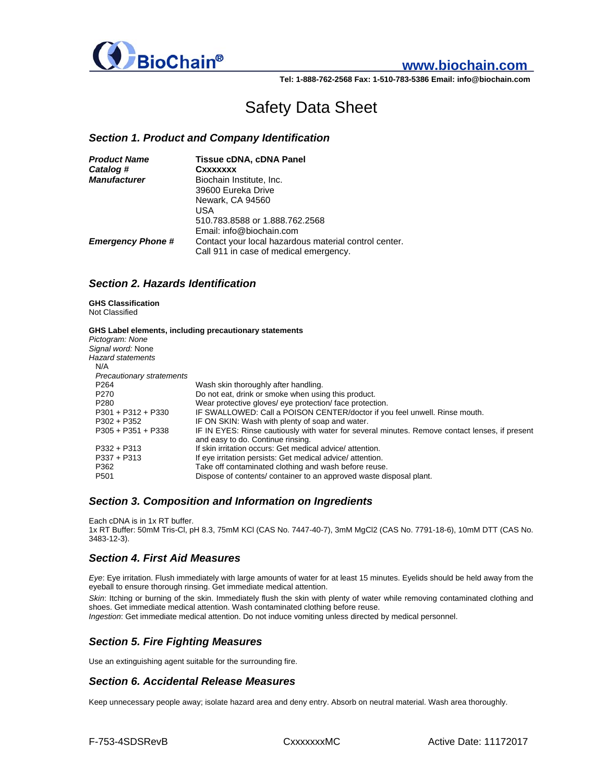

# **www.biochain.com**

**Tel: 1-888-762-2568 Fax: 1-510-783-5386 Email: info@biochain.com**

# Safety Data Sheet

## *Section 1. Product and Company Identification*

| <b>Product Name</b>      | <b>Tissue cDNA, cDNA Panel</b>                                                                  |
|--------------------------|-------------------------------------------------------------------------------------------------|
| Catalog #                | Cxxxxxxx                                                                                        |
| <b>Manufacturer</b>      | Biochain Institute, Inc.                                                                        |
|                          | 39600 Eureka Drive                                                                              |
|                          | Newark, CA 94560                                                                                |
|                          | USA                                                                                             |
|                          | 510.783.8588 or 1.888.762.2568                                                                  |
|                          | Email: info@biochain.com                                                                        |
| <b>Emergency Phone #</b> | Contact your local hazardous material control center.<br>Call 911 in case of medical emergency. |

## *Section 2. Hazards Identification*

## **GHS Classification**

Not Classified

#### **GHS Label elements, including precautionary statements**

|                                  | Ond Laber elements, including precaduonally statements                                         |
|----------------------------------|------------------------------------------------------------------------------------------------|
| Pictogram: None                  |                                                                                                |
| Signal word: None                |                                                                                                |
| <b>Hazard statements</b>         |                                                                                                |
| N/A                              |                                                                                                |
| <b>Precautionary stratements</b> |                                                                                                |
| P <sub>264</sub>                 | Wash skin thoroughly after handling.                                                           |
| P <sub>270</sub>                 | Do not eat, drink or smoke when using this product.                                            |
| P <sub>280</sub>                 | Wear protective gloves/ eye protection/ face protection.                                       |
| $P301 + P312 + P330$             | IF SWALLOWED: Call a POISON CENTER/doctor if you feel unwell. Rinse mouth.                     |
| $P302 + P352$                    | IF ON SKIN: Wash with plenty of soap and water.                                                |
| $P305 + P351 + P338$             | IF IN EYES: Rinse cautiously with water for several minutes. Remove contact lenses, if present |
|                                  | and easy to do. Continue rinsing.                                                              |
| $P332 + P313$                    | If skin irritation occurs: Get medical advice/attention.                                       |
| $P337 + P313$                    | If eye irritation persists: Get medical advice/attention.                                      |
| P362                             | Take off contaminated clothing and wash before reuse.                                          |
| P <sub>501</sub>                 | Dispose of contents/container to an approved waste disposal plant.                             |
|                                  |                                                                                                |

### *Section 3. Composition and Information on Ingredients*

Each cDNA is in 1x RT buffer. 1x RT Buffer: 50mM Tris-Cl, pH 8.3, 75mM KCl (CAS No. 7447-40-7), 3mM MgCl2 (CAS No. 7791-18-6), 10mM DTT (CAS No. 3483-12-3).

### *Section 4. First Aid Measures*

*Eye*: Eye irritation. Flush immediately with large amounts of water for at least 15 minutes. Eyelids should be held away from the eyeball to ensure thorough rinsing. Get immediate medical attention.

*Skin*: Itching or burning of the skin. Immediately flush the skin with plenty of water while removing contaminated clothing and shoes. Get immediate medical attention. Wash contaminated clothing before reuse.

*Ingestion*: Get immediate medical attention. Do not induce vomiting unless directed by medical personnel.

## *Section 5. Fire Fighting Measures*

Use an extinguishing agent suitable for the surrounding fire.

### *Section 6. Accidental Release Measures*

Keep unnecessary people away; isolate hazard area and deny entry. Absorb on neutral material. Wash area thoroughly.